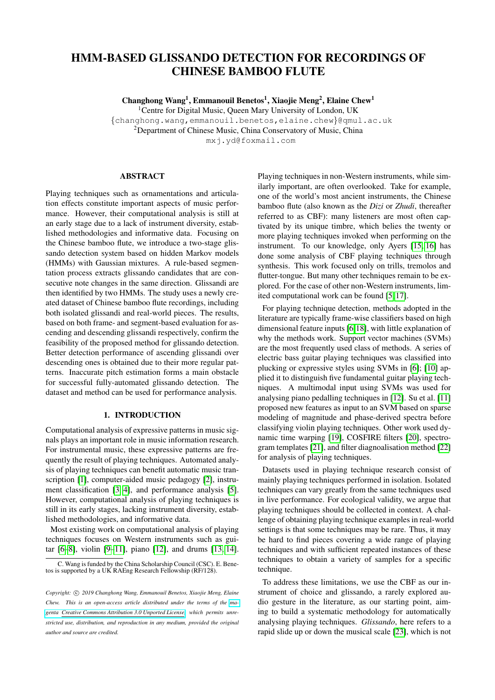# HMM-BASED GLISSANDO DETECTION FOR RECORDINGS OF CHINESE BAMBOO FLUTE

Changhong Wang<sup>1</sup>, Emmanouil Benetos<sup>1</sup>, Xiaojie Meng<sup>2</sup>, Elaine Chew<sup>1</sup> <sup>1</sup> Centre for Digital Music, Queen Mary University of London, UK {changhong.wang,emmanouil.benetos,elaine.chew}@qmul.ac.uk <sup>2</sup>Department of Chinese Music, China Conservatory of Music, China

mxj.yd@foxmail.com

## ABSTRACT

Playing techniques such as ornamentations and articulation effects constitute important aspects of music performance. However, their computational analysis is still at an early stage due to a lack of instrument diversity, established methodologies and informative data. Focusing on the Chinese bamboo flute, we introduce a two-stage glissando detection system based on hidden Markov models (HMMs) with Gaussian mixtures. A rule-based segmentation process extracts glissando candidates that are consecutive note changes in the same direction. Glissandi are then identified by two HMMs. The study uses a newly created dataset of Chinese bamboo flute recordings, including both isolated glissandi and real-world pieces. The results, based on both frame- and segment-based evaluation for ascending and descending glissandi respectively, confirm the feasibility of the proposed method for glissando detection. Better detection performance of ascending glissandi over descending ones is obtained due to their more regular patterns. Inaccurate pitch estimation forms a main obstacle for successful fully-automated glissando detection. The dataset and method can be used for performance analysis.

#### 1. INTRODUCTION

Computational analysis of expressive patterns in music signals plays an important role in music information research. For instrumental music, these expressive patterns are frequently the result of playing techniques. Automated analysis of playing techniques can benefit automatic music transcription [\[1\]](#page-4-0), computer-aided music pedagogy [\[2\]](#page-4-1), instrument classification [\[3,](#page-4-2) [4\]](#page-4-3), and performance analysis [\[5\]](#page-4-4). However, computational analysis of playing techniques is still in its early stages, lacking instrument diversity, established methodologies, and informative data.

Most existing work on computational analysis of playing techniques focuses on Western instruments such as guitar [\[6–](#page-4-5)[8\]](#page-4-6), violin [\[9–](#page-5-0)[11\]](#page-5-1), piano [\[12\]](#page-5-2), and drums [\[13,](#page-5-3) [14\]](#page-5-4). Playing techniques in non-Western instruments, while similarly important, are often overlooked. Take for example, one of the world's most ancient instruments, the Chinese bamboo flute (also known as the *Dizi* or *Zhudi*, thereafter referred to as CBF): many listeners are most often captivated by its unique timbre, which belies the twenty or more playing techniques invoked when performing on the instrument. To our knowledge, only Ayers [\[15,](#page-5-5) [16\]](#page-5-6) has done some analysis of CBF playing techniques through synthesis. This work focused only on trills, tremolos and flutter-tongue. But many other techniques remain to be explored. For the case of other non-Western instruments, limited computational work can be found [\[5,](#page-4-4) [17\]](#page-5-7).

For playing technique detection, methods adopted in the literature are typically frame-wise classifiers based on high dimensional feature inputs [\[6,](#page-4-5)[18\]](#page-5-8), with little explanation of why the methods work. Support vector machines (SVMs) are the most frequently used class of methods. A series of electric bass guitar playing techniques was classified into plucking or expressive styles using SVMs in [\[6\]](#page-4-5); [\[10\]](#page-5-9) applied it to distinguish five fundamental guitar playing techniques. A multimodal input using SVMs was used for analysing piano pedalling techniques in [\[12\]](#page-5-2). Su et al. [\[11\]](#page-5-1) proposed new features as input to an SVM based on sparse modeling of magnitude and phase-derived spectra before classifying violin playing techniques. Other work used dynamic time warping [\[19\]](#page-5-10), COSFIRE filters [\[20\]](#page-5-11), spectrogram templates [\[21\]](#page-5-12), and filter diagnoalisation method [\[22\]](#page-5-13) for analysis of playing techniques.

Datasets used in playing technique research consist of mainly playing techniques performed in isolation. Isolated techniques can vary greatly from the same techniques used in live performance. For ecological validity, we argue that playing techniques should be collected in context. A challenge of obtaining playing technique examples in real-world settings is that some techniques may be rare. Thus, it may be hard to find pieces covering a wide range of playing techniques and with sufficient repeated instances of these techniques to obtain a variety of samples for a specific technique.

To address these limitations, we use the CBF as our instrument of choice and glissando, a rarely explored audio gesture in the literature, as our starting point, aiming to build a systematic methodology for automatically analysing playing techniques. *Glissando*, here refers to a rapid slide up or down the musical scale [\[23\]](#page-5-14), which is not

C. Wang is funded by the China Scholarship Council (CSC). E. Bene-tos is supported by a UK RAEng Research Fellowship (RF/128).

Copyright:  $\circled{c}$  2019 Changhong Wang, Emmanouil Benetos, Xiaojie Meng, Elaine *Chew. This is an open-access article distributed under the terms of the [ma](http://creativecommons.org/licenses/by/3.0/)[genta Creative Commons Attribution 3.0 Unported License,](http://creativecommons.org/licenses/by/3.0/) which permits unrestricted use, distribution, and reproduction in any medium, provided the original author and source are credited.*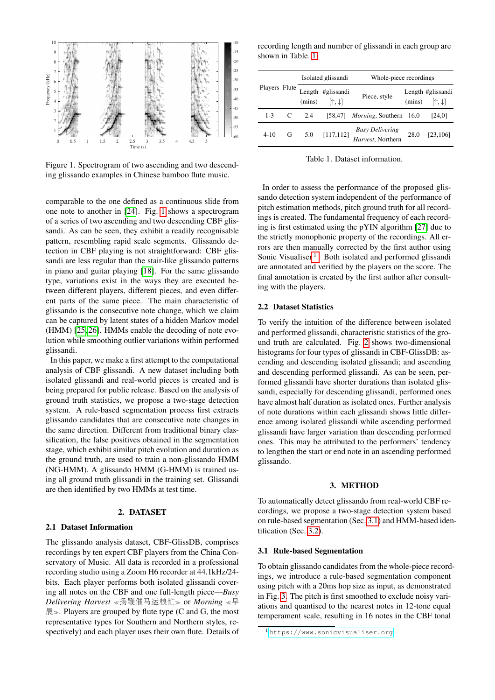<span id="page-1-0"></span>

Figure 1. Spectrogram of two ascending and two descending glissando examples in Chinese bamboo flute music.

comparable to the one defined as a continuous slide from one note to another in [\[24\]](#page-5-15). Fig. [1](#page-1-0) shows a spectrogram of a series of two ascending and two descending CBF glissandi. As can be seen, they exhibit a readily recognisable pattern, resembling rapid scale segments. Glissando detection in CBF playing is not straightforward: CBF glissandi are less regular than the stair-like glissando patterns in piano and guitar playing [\[18\]](#page-5-8). For the same glissando type, variations exist in the ways they are executed between different players, different pieces, and even different parts of the same piece. The main characteristic of glissando is the consecutive note change, which we claim can be captured by latent states of a hidden Markov model (HMM) [\[25,](#page-5-16) [26\]](#page-5-17). HMMs enable the decoding of note evolution while smoothing outlier variations within performed glissandi.

In this paper, we make a first attempt to the computational analysis of CBF glissandi. A new dataset including both isolated glissandi and real-world pieces is created and is being prepared for public release. Based on the analysis of ground truth statistics, we propose a two-stage detection system. A rule-based segmentation process first extracts glissando candidates that are consecutive note changes in the same direction. Different from traditional binary classification, the false positives obtained in the segmentation stage, which exhibit similar pitch evolution and duration as the ground truth, are used to train a non-glissando HMM (NG-HMM). A glissando HMM (G-HMM) is trained using all ground truth glissandi in the training set. Glissandi are then identified by two HMMs at test time.

## 2. DATASET

## 2.1 Dataset Information

The glissando analysis dataset, CBF-GlissDB, comprises recordings by ten expert CBF players from the China Conservatory of Music. All data is recorded in a professional recording studio using a Zoom H6 recorder at 44.1kHz/24 bits. Each player performs both isolated glissandi covering all notes on the CBF and one full-length piece—*Busy Delivering Harvest* < 扬鞭催马运粮忙 >> or *Morning* < 早  $l_{\mathbb{R}}^{\mathbb{R}}$ . Players are grouped by flute type (C and G, the most representative types for Southern and Northern styles, respectively) and each player uses their own flute. Details of

recording length and number of glissandi in each group are shown in Table. [1.](#page-1-1)

<span id="page-1-1"></span>

|               |   | Isolated glissandi |                                                        | Whole-piece recordings                      |        |                                              |  |  |
|---------------|---|--------------------|--------------------------------------------------------|---------------------------------------------|--------|----------------------------------------------|--|--|
| Players Flute |   |                    | Length #glissandi<br>$(mins)$ $[\uparrow, \downarrow]$ | Piece, style                                | (mins) | Length #glissandi<br>$[\uparrow,\downarrow]$ |  |  |
| $1 - 3$       |   | $C = 2.4$          |                                                        | [58,47] <i>Morning</i> , Southern $16.0$    |        | [24,0]                                       |  |  |
| $4 - 10$      | G | 5.0                | [117, 112]                                             | <b>Busy Delivering</b><br>Harvest, Northern | 28.0   | [23, 106]                                    |  |  |

Table 1. Dataset information.

In order to assess the performance of the proposed glissando detection system independent of the performance of pitch estimation methods, pitch ground truth for all recordings is created. The fundamental frequency of each recording is first estimated using the pYIN algorithm [\[27\]](#page-5-18) due to the strictly monophonic property of the recordings. All errors are then manually corrected by the first author using Sonic Visualiser<sup>[1](#page-1-2)</sup>. Both isolated and performed glissandi are annotated and verified by the players on the score. The final annotation is created by the first author after consulting with the players.

#### 2.2 Dataset Statistics

To verify the intuition of the difference between isolated and performed glissandi, characteristic statistics of the ground truth are calculated. Fig. [2](#page-2-0) shows two-dimensional histograms for four types of glissandi in CBF-GlissDB: ascending and descending isolated glissandi; and ascending and descending performed glissandi. As can be seen, performed glissandi have shorter durations than isolated glissandi, especially for descending glissandi, performed ones have almost half duration as isolated ones. Further analysis of note durations within each glissandi shows little difference among isolated glissandi while ascending performed glissandi have larger variation than descending performed ones. This may be attributed to the performers' tendency to lengthen the start or end note in an ascending performed glissando.

## 3. METHOD

To automatically detect glissando from real-world CBF recordings, we propose a two-stage detection system based on rule-based segmentation (Sec. [3.1\)](#page-1-3) and HMM-based identification (Sec. [3.2\)](#page-2-1).

## <span id="page-1-3"></span>3.1 Rule-based Segmentation

To obtain glissando candidates from the whole-piece recordings, we introduce a rule-based segmentation component using pitch with a 20ms hop size as input, as demonstrated in Fig. [3.](#page-2-2) The pitch is first smoothed to exclude noisy variations and quantised to the nearest notes in 12-tone equal temperament scale, resulting in 16 notes in the CBF tonal

<span id="page-1-2"></span><sup>1</sup> <https://www.sonicvisualiser.org>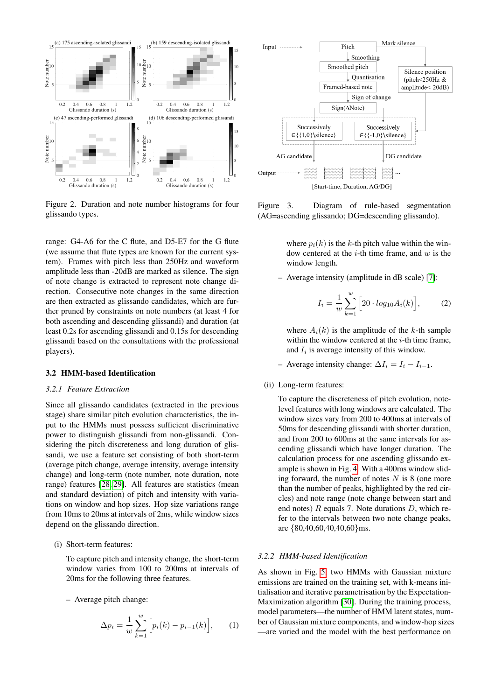<span id="page-2-0"></span>

Figure 2. Duration and note number histograms for four glissando types.

range: G4-A6 for the C flute, and D5-E7 for the G flute (we assume that flute types are known for the current system). Frames with pitch less than 250Hz and waveform amplitude less than -20dB are marked as silence. The sign of note change is extracted to represent note change direction. Consecutive note changes in the same direction are then extracted as glissando candidates, which are further pruned by constraints on note numbers (at least 4 for both ascending and descending glissandi) and duration (at least 0.2s for ascending glissandi and 0.15s for descending glissandi based on the consultations with the professional players).

#### <span id="page-2-1"></span>3.2 HMM-based Identification

#### *3.2.1 Feature Extraction*

Since all glissando candidates (extracted in the previous stage) share similar pitch evolution characteristics, the input to the HMMs must possess sufficient discriminative power to distinguish glissandi from non-glissandi. Considering the pitch discreteness and long duration of glissandi, we use a feature set consisting of both short-term (average pitch change, average intensity, average intensity change) and long-term (note number, note duration, note range) features [\[28,](#page-5-19) [29\]](#page-5-20). All features are statistics (mean and standard deviation) of pitch and intensity with variations on window and hop sizes. Hop size variations range from 10ms to 20ms at intervals of 2ms, while window sizes depend on the glissando direction.

#### (i) Short-term features:

To capture pitch and intensity change, the short-term window varies from 100 to 200ms at intervals of 20ms for the following three features.

– Average pitch change:

$$
\Delta p_i = \frac{1}{w} \sum_{k=1}^{w} \left[ p_i(k) - p_{i-1}(k) \right], \qquad (1)
$$

<span id="page-2-2"></span>

Figure 3. Diagram of rule-based segmentation (AG=ascending glissando; DG=descending glissando).

where  $p_i(k)$  is the k-th pitch value within the window centered at the  $i$ -th time frame, and  $w$  is the window length.

– Average intensity (amplitude in dB scale) [\[7\]](#page-4-7):

$$
I_i = \frac{1}{w} \sum_{k=1}^{w} \left[ 20 \cdot log_{10} A_i(k) \right],
$$
 (2)

where  $A_i(k)$  is the amplitude of the k-th sample within the window centered at the  $i$ -th time frame, and  $I_i$  is average intensity of this window.

- Average intensity change:  $\Delta I_i = I_i I_{i-1}$ .
- (ii) Long-term features:

To capture the discreteness of pitch evolution, notelevel features with long windows are calculated. The window sizes vary from 200 to 400ms at intervals of 50ms for descending glissandi with shorter duration, and from 200 to 600ms at the same intervals for ascending glissandi which have longer duration. The calculation process for one ascending glissando example is shown in Fig. [4.](#page-3-0) With a 400ms window sliding forward, the number of notes  $N$  is 8 (one more than the number of peaks, highlighted by the red circles) and note range (note change between start and end notes)  $R$  equals 7. Note durations  $D$ , which refer to the intervals between two note change peaks, are {80,40,60,40,40,60}ms.

# *3.2.2 HMM-based Identification*

As shown in Fig. [5,](#page-3-1) two HMMs with Gaussian mixture emissions are trained on the training set, with k-means initialisation and iterative parametrisation by the Expectation-Maximization algorithm [\[30\]](#page-5-21). During the training process, model parameters—the number of HMM latent states, number of Gaussian mixture components, and window-hop sizes —are varied and the model with the best performance on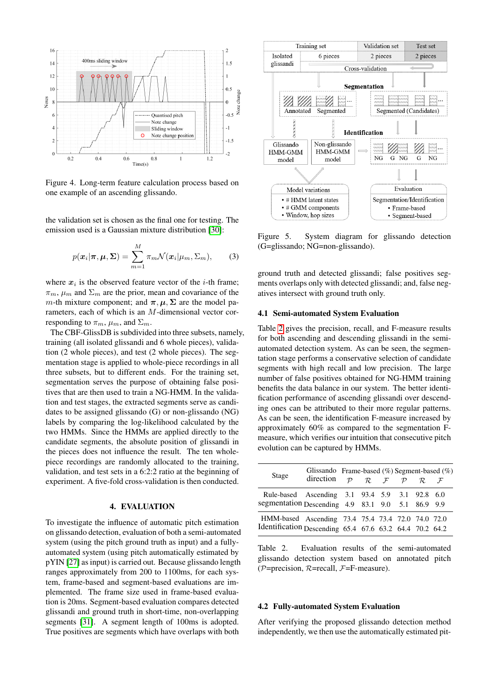<span id="page-3-0"></span>

Figure 4. Long-term feature calculation process based on one example of an ascending glissando.

the validation set is chosen as the final one for testing. The emission used is a Gaussian mixture distribution [\[30\]](#page-5-21):

$$
p(\boldsymbol{x}_i|\boldsymbol{\pi}, \boldsymbol{\mu}, \boldsymbol{\Sigma}) = \sum_{m=1}^M \pi_m \mathcal{N}(\boldsymbol{x}_i|\mu_m, \Sigma_m),
$$
 (3)

where  $x_i$  is the observed feature vector of the *i*-th frame;  $\pi_m$ ,  $\mu_m$  and  $\Sigma_m$  are the prior, mean and covariance of the m-th mixture component; and  $\pi, \mu, \Sigma$  are the model parameters, each of which is an M-dimensional vector corresponding to  $\pi_m$ ,  $\mu_m$ , and  $\Sigma_m$ .

The CBF-GlissDB is subdivided into three subsets, namely, training (all isolated glissandi and 6 whole pieces), validation (2 whole pieces), and test (2 whole pieces). The segmentation stage is applied to whole-piece recordings in all three subsets, but to different ends. For the training set, segmentation serves the purpose of obtaining false positives that are then used to train a NG-HMM. In the validation and test stages, the extracted segments serve as candidates to be assigned glissando (G) or non-glissando (NG) labels by comparing the log-likelihood calculated by the two HMMs. Since the HMMs are applied directly to the candidate segments, the absolute position of glissandi in the pieces does not influence the result. The ten wholepiece recordings are randomly allocated to the training, validation, and test sets in a 6:2:2 ratio at the beginning of experiment. A five-fold cross-validation is then conducted.

## 4. EVALUATION

To investigate the influence of automatic pitch estimation on glissando detection, evaluation of both a semi-automated system (using the pitch ground truth as input) and a fullyautomated system (using pitch automatically estimated by pYIN [\[27\]](#page-5-18) as input) is carried out. Because glissando length ranges approximately from 200 to 1100ms, for each system, frame-based and segment-based evaluations are implemented. The frame size used in frame-based evaluation is 20ms. Segment-based evaluation compares detected glissandi and ground truth in short-time, non-overlapping segments [\[31\]](#page-5-22). A segment length of 100ms is adopted. True positives are segments which have overlaps with both

<span id="page-3-1"></span>

Figure 5. System diagram for glissando detection (G=glissando; NG=non-glissando).

ground truth and detected glissandi; false positives segments overlaps only with detected glissandi; and, false negatives intersect with ground truth only.

# 4.1 Semi-automated System Evaluation

Table [2](#page-3-2) gives the precision, recall, and F-measure results for both ascending and descending glissandi in the semiautomated detection system. As can be seen, the segmentation stage performs a conservative selection of candidate segments with high recall and low precision. The large number of false positives obtained for NG-HMM training benefits the data balance in our system. The better identification performance of ascending glissandi over descending ones can be attributed to their more regular patterns. As can be seen, the identification F-measure increased by approximately 60% as compared to the segmentation Fmeasure, which verifies our intuition that consecutive pitch evolution can be captured by HMMs.

<span id="page-3-2"></span>

| Stage                                                                                                        | Glissando Frame-based $(\%)$ Segment-based $(\%)$<br>direction $\mathcal{P}$ $\mathcal{R}$ $\mathcal{F}$ $\mathcal{P}$ |  |  | $R$ $F$ |  |
|--------------------------------------------------------------------------------------------------------------|------------------------------------------------------------------------------------------------------------------------|--|--|---------|--|
| Rule-based Ascending 3.1 93.4 5.9 3.1 92.8 6.0<br>segmentation Descending 4.9 83.1 9.0 5.1 86.9 9.9          |                                                                                                                        |  |  |         |  |
| HMM-based Ascending 73.4 75.4 73.4 72.0 74.0 72.0<br>Identification Descending 65.4 67.6 63.2 64.4 70.2 64.2 |                                                                                                                        |  |  |         |  |

Table 2. Evaluation results of the semi-automated glissando detection system based on annotated pitch ( $P=precision, R=recall, F=F-measure$ ).

# 4.2 Fully-automated System Evaluation

After verifying the proposed glissando detection method independently, we then use the automatically estimated pit-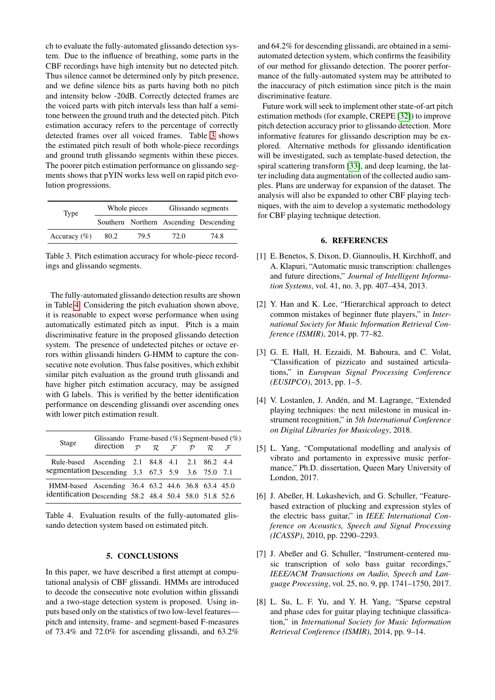ch to evaluate the fully-automated glissando detection system. Due to the influence of breathing, some parts in the CBF recordings have high intensity but no detected pitch. Thus silence cannot be determined only by pitch presence, and we define silence bits as parts having both no pitch and intensity below -20dB. Correctly detected frames are the voiced parts with pitch intervals less than half a semitone between the ground truth and the detected pitch. Pitch estimation accuracy refers to the percentage of correctly detected frames over all voiced frames. Table [3](#page-4-8) shows the estimated pitch result of both whole-piece recordings and ground truth glissando segments within these pieces. The poorer pitch estimation performance on glissando segments shows that pYIN works less well on rapid pitch evolution progressions.

<span id="page-4-8"></span>

| Type            |      | Whole pieces | Glissando segments |                                        |  |  |
|-----------------|------|--------------|--------------------|----------------------------------------|--|--|
|                 |      |              |                    | Southern Northern Ascending Descending |  |  |
| Accuracy $(\%)$ | 80.2 | 79.5         | 72.0               | 74.8                                   |  |  |

Table 3. Pitch estimation accuracy for whole-piece recordings and glissando segments.

The fully-automated glissando detection results are shown in Table [4.](#page-4-9) Considering the pitch evaluation shown above, it is reasonable to expect worse performance when using automatically estimated pitch as input. Pitch is a main discriminative feature in the proposed glissando detection system. The presence of undetected pitches or octave errors within glissandi hinders G-HMM to capture the consecutive note evolution. Thus false positives, which exhibit similar pitch evaluation as the ground truth glissandi and have higher pitch estimation accuracy, may be assigned with G labels. This is verified by the better identification performance on descending glissandi over ascending ones with lower pitch estimation result.

<span id="page-4-9"></span>

| Stage                                                                                                        | Glissando Frame-based $(\%)$ Segment-based $(\%)$<br>direction $p \mathcal{R} \mathcal{F} \mathcal{P} \mathcal{R} \mathcal{F}$ |  |  |  |
|--------------------------------------------------------------------------------------------------------------|--------------------------------------------------------------------------------------------------------------------------------|--|--|--|
| Rule-based Ascending 2.1 84.8 4.1 2.1 86.2 4.4<br>segmentation Descending 3.3 67.3 5.9 3.6 75.0 7.1          |                                                                                                                                |  |  |  |
| HMM-based Ascending 36.4 63.2 44.6 36.8 63.4 45.0<br>identification Descending 58.2 48.4 50.4 58.0 51.8 52.6 |                                                                                                                                |  |  |  |

Table 4. Evaluation results of the fully-automated glissando detection system based on estimated pitch.

### 5. CONCLUSIONS

In this paper, we have described a first attempt at computational analysis of CBF glissandi. HMMs are introduced to decode the consecutive note evolution within glissandi and a two-stage detection system is proposed. Using inputs based only on the statistics of two low-level features pitch and intensity, frame- and segment-based F-measures of 73.4% and 72.0% for ascending glissandi, and 63.2% and 64.2% for descending glissandi, are obtained in a semiautomated detection system, which confirms the feasibility of our method for glissando detection. The poorer performance of the fully-automated system may be attributed to the inaccuracy of pitch estimation since pitch is the main discriminative feature.

Future work will seek to implement other state-of-art pitch estimation methods (for example, CREPE [\[32\]](#page-5-23)) to improve pitch detection accuracy prior to glissando detection. More informative features for glissando description may be explored. Alternative methods for glissando identification will be investigated, such as template-based detection, the spiral scattering transform [\[33\]](#page-5-24), and deep learning, the latter including data augmentation of the collected audio samples. Plans are underway for expansion of the dataset. The analysis will also be expanded to other CBF playing techniques, with the aim to develop a systematic methodology for CBF playing technique detection.

# 6. REFERENCES

- <span id="page-4-0"></span>[1] E. Benetos, S. Dixon, D. Giannoulis, H. Kirchhoff, and A. Klapuri, "Automatic music transcription: challenges and future directions," *Journal of Intelligent Information Systems*, vol. 41, no. 3, pp. 407–434, 2013.
- <span id="page-4-1"></span>[2] Y. Han and K. Lee, "Hierarchical approach to detect common mistakes of beginner flute players," in *International Society for Music Information Retrieval Conference (ISMIR)*, 2014, pp. 77–82.
- <span id="page-4-2"></span>[3] G. E. Hall, H. Ezzaidi, M. Bahoura, and C. Volat, "Classification of pizzicato and sustained articulations," in *European Signal Processing Conference (EUSIPCO)*, 2013, pp. 1–5.
- <span id="page-4-3"></span>[4] V. Lostanlen, J. Andén, and M. Lagrange, "Extended playing techniques: the next milestone in musical instrument recognition," in *5th International Conference on Digital Libraries for Musicology*, 2018.
- <span id="page-4-4"></span>[5] L. Yang, "Computational modelling and analysis of vibrato and portamento in expressive music performance," Ph.D. dissertation, Queen Mary University of London, 2017.
- <span id="page-4-5"></span>[6] J. Abeßer, H. Lukashevich, and G. Schuller, "Featurebased extraction of plucking and expression styles of the electric bass guitar," in *IEEE International Conference on Acoustics, Speech and Signal Processing (ICASSP)*, 2010, pp. 2290–2293.
- <span id="page-4-7"></span>[7] J. Abeßer and G. Schuller, "Instrument-centered music transcription of solo bass guitar recordings," *IEEE/ACM Transactions on Audio, Speech and Language Processing*, vol. 25, no. 9, pp. 1741–1750, 2017.
- <span id="page-4-6"></span>[8] L. Su, L. F. Yu, and Y. H. Yang, "Sparse cepstral and phase cdes for guitar playing technique classification," in *International Society for Music Information Retrieval Conference (ISMIR)*, 2014, pp. 9–14.